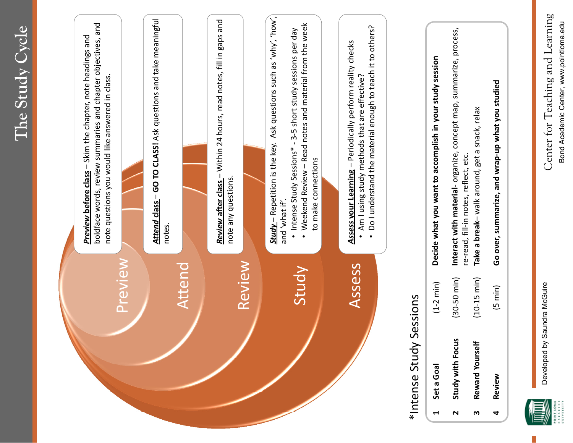



Developed by Saundra McGuire

Developed by Saundra McGuire